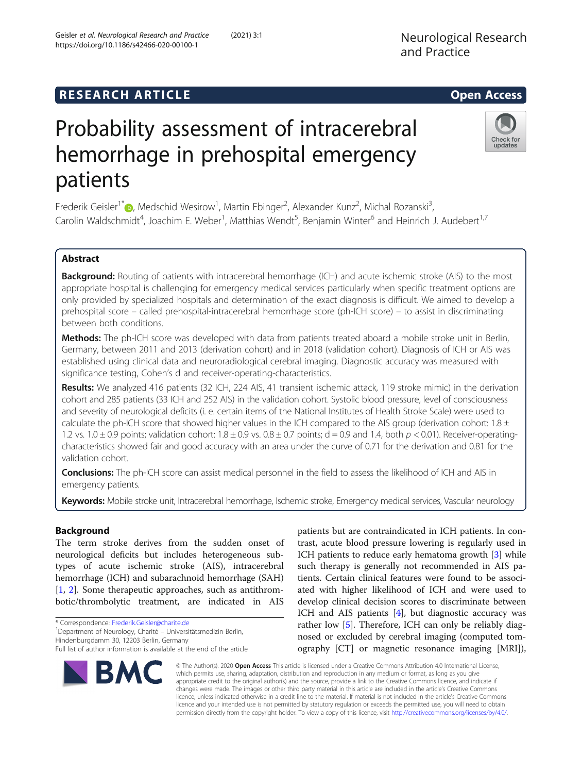## **RESEARCH ARTICLE Example 2014 12:30 The SEAR CH ACCESS**

# Probability assessment of intracerebral hemorrhage in prehospital emergency patients

Frederik Geisler<sup>1[\\*](http://orcid.org/0000-0003-0695-2590)</sup> (**b.** Medschid Wesirow<sup>1</sup>, Martin Ebinger<sup>2</sup>, Alexander Kunz<sup>2</sup>, Michal Rozanski<sup>3</sup> , Carolin Waldschmidt<sup>4</sup>, Joachim E. Weber<sup>1</sup>, Matthias Wendt<sup>5</sup>, Benjamin Winter<sup>6</sup> and Heinrich J. Audebert<sup>1,7</sup>

## Abstract

Background: Routing of patients with intracerebral hemorrhage (ICH) and acute ischemic stroke (AIS) to the most appropriate hospital is challenging for emergency medical services particularly when specific treatment options are only provided by specialized hospitals and determination of the exact diagnosis is difficult. We aimed to develop a prehospital score – called prehospital-intracerebral hemorrhage score (ph-ICH score) – to assist in discriminating between both conditions.

Methods: The ph-ICH score was developed with data from patients treated aboard a mobile stroke unit in Berlin, Germany, between 2011 and 2013 (derivation cohort) and in 2018 (validation cohort). Diagnosis of ICH or AIS was established using clinical data and neuroradiological cerebral imaging. Diagnostic accuracy was measured with significance testing, Cohen's d and receiver-operating-characteristics.

Results: We analyzed 416 patients (32 ICH, 224 AIS, 41 transient ischemic attack, 119 stroke mimic) in the derivation cohort and 285 patients (33 ICH and 252 AIS) in the validation cohort. Systolic blood pressure, level of consciousness and severity of neurological deficits (i. e. certain items of the National Institutes of Health Stroke Scale) were used to calculate the ph-ICH score that showed higher values in the ICH compared to the AIS group (derivation cohort:  $1.8 \pm$ 1.2 vs. 1.0  $\pm$  0.9 points; validation cohort: 1.8  $\pm$  0.9 vs. 0.8  $\pm$  0.7 points; d = 0.9 and 1.4, both  $p$  < 0.01). Receiver-operatingcharacteristics showed fair and good accuracy with an area under the curve of 0.71 for the derivation and 0.81 for the validation cohort.

Conclusions: The ph-ICH score can assist medical personnel in the field to assess the likelihood of ICH and AIS in emergency patients.

Keywords: Mobile stroke unit, Intracerebral hemorrhage, Ischemic stroke, Emergency medical services, Vascular neurology

## Background

The term stroke derives from the sudden onset of neurological deficits but includes heterogeneous subtypes of acute ischemic stroke (AIS), intracerebral hemorrhage (ICH) and subarachnoid hemorrhage (SAH) [[1,](#page-9-0) [2](#page-9-0)]. Some therapeutic approaches, such as antithrombotic/thrombolytic treatment, are indicated in AIS

\* Correspondence: [Frederik.Geisler@charite.de](mailto:Frederik.Geisler@charite.de) <sup>1</sup>

**BM** 

Department of Neurology, Charité – Universitätsmedizin Berlin, Hindenburgdamm 30, 12203 Berlin, Germany

patients but are contraindicated in ICH patients. In contrast, acute blood pressure lowering is regularly used in ICH patients to reduce early hematoma growth [[3\]](#page-9-0) while such therapy is generally not recommended in AIS patients. Certain clinical features were found to be associated with higher likelihood of ICH and were used to develop clinical decision scores to discriminate between ICH and AIS patients [\[4](#page-9-0)], but diagnostic accuracy was rather low [[5\]](#page-9-0). Therefore, ICH can only be reliably diagnosed or excluded by cerebral imaging (computed tomography [CT] or magnetic resonance imaging [MRI]),

© The Author(s). 2020 Open Access This article is licensed under a Creative Commons Attribution 4.0 International License, which permits use, sharing, adaptation, distribution and reproduction in any medium or format, as long as you give appropriate credit to the original author(s) and the source, provide a link to the Creative Commons licence, and indicate if changes were made. The images or other third party material in this article are included in the article's Creative Commons licence, unless indicated otherwise in a credit line to the material. If material is not included in the article's Creative Commons licence and your intended use is not permitted by statutory regulation or exceeds the permitted use, you will need to obtain permission directly from the copyright holder. To view a copy of this licence, visit [http://creativecommons.org/licenses/by/4.0/.](http://creativecommons.org/licenses/by/4.0/)







Full list of author information is available at the end of the article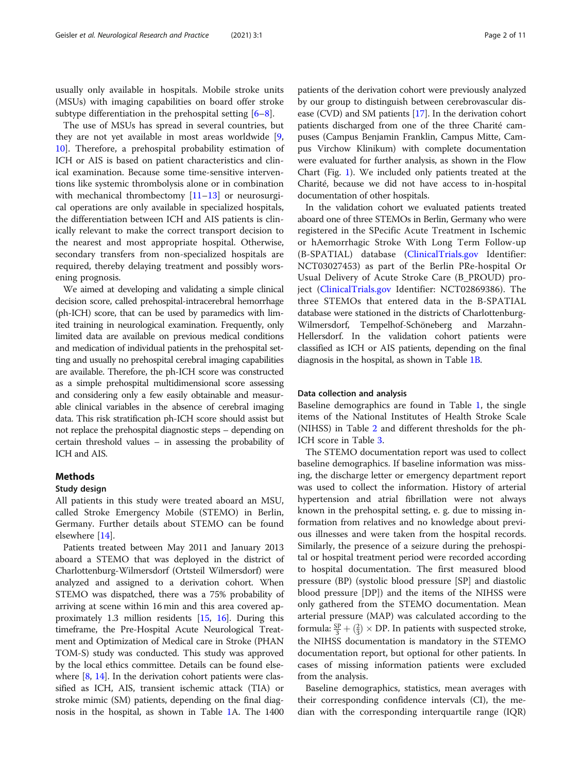usually only available in hospitals. Mobile stroke units (MSUs) with imaging capabilities on board offer stroke subtype differentiation in the prehospital setting [\[6](#page-9-0)–[8\]](#page-9-0).

The use of MSUs has spread in several countries, but they are not yet available in most areas worldwide [\[9](#page-9-0), [10\]](#page-9-0). Therefore, a prehospital probability estimation of ICH or AIS is based on patient characteristics and clinical examination. Because some time-sensitive interventions like systemic thrombolysis alone or in combination with mechanical thrombectomy [[11](#page-9-0)–[13](#page-10-0)] or neurosurgical operations are only available in specialized hospitals, the differentiation between ICH and AIS patients is clinically relevant to make the correct transport decision to the nearest and most appropriate hospital. Otherwise, secondary transfers from non-specialized hospitals are required, thereby delaying treatment and possibly worsening prognosis.

We aimed at developing and validating a simple clinical decision score, called prehospital-intracerebral hemorrhage (ph-ICH) score, that can be used by paramedics with limited training in neurological examination. Frequently, only limited data are available on previous medical conditions and medication of individual patients in the prehospital setting and usually no prehospital cerebral imaging capabilities are available. Therefore, the ph-ICH score was constructed as a simple prehospital multidimensional score assessing and considering only a few easily obtainable and measurable clinical variables in the absence of cerebral imaging data. This risk stratification ph-ICH score should assist but not replace the prehospital diagnostic steps – depending on certain threshold values – in assessing the probability of ICH and AIS.

### Methods

#### Study design

All patients in this study were treated aboard an MSU, called Stroke Emergency Mobile (STEMO) in Berlin, Germany. Further details about STEMO can be found elsewhere [[14](#page-10-0)].

Patients treated between May 2011 and January 2013 aboard a STEMO that was deployed in the district of Charlottenburg-Wilmersdorf (Ortsteil Wilmersdorf) were analyzed and assigned to a derivation cohort. When STEMO was dispatched, there was a 75% probability of arriving at scene within 16 min and this area covered approximately 1.3 million residents [[15](#page-10-0), [16\]](#page-10-0). During this timeframe, the Pre-Hospital Acute Neurological Treatment and Optimization of Medical care in Stroke (PHAN TOM-S) study was conducted. This study was approved by the local ethics committee. Details can be found elsewhere  $[8, 14]$  $[8, 14]$  $[8, 14]$ . In the derivation cohort patients were classified as ICH, AIS, transient ischemic attack (TIA) or stroke mimic (SM) patients, depending on the final diagnosis in the hospital, as shown in Table [1](#page-2-0)A. The 1400

patients of the derivation cohort were previously analyzed by our group to distinguish between cerebrovascular disease (CVD) and SM patients [\[17\]](#page-10-0). In the derivation cohort patients discharged from one of the three Charité campuses (Campus Benjamin Franklin, Campus Mitte, Campus Virchow Klinikum) with complete documentation were evaluated for further analysis, as shown in the Flow Chart (Fig. [1](#page-4-0)). We included only patients treated at the Charité, because we did not have access to in-hospital documentation of other hospitals.

In the validation cohort we evaluated patients treated aboard one of three STEMOs in Berlin, Germany who were registered in the SPecific Acute Treatment in Ischemic or hAemorrhagic Stroke With Long Term Follow-up (B-SPATIAL) database ([ClinicalTrials.gov](http://clinicaltrials.gov) Identifier: NCT03027453) as part of the Berlin PRe-hospital Or Usual Delivery of Acute Stroke Care (B\_PROUD) project ([ClinicalTrials.gov](http://clinicaltrials.gov) Identifier: NCT02869386). The three STEMOs that entered data in the B-SPATIAL database were stationed in the districts of Charlottenburg-Wilmersdorf, Tempelhof-Schöneberg and Marzahn-Hellersdorf. In the validation cohort patients were classified as ICH or AIS patients, depending on the final diagnosis in the hospital, as shown in Table [1B](#page-2-0).

#### Data collection and analysis

Baseline demographics are found in Table [1,](#page-2-0) the single items of the National Institutes of Health Stroke Scale (NIHSS) in Table [2](#page-5-0) and different thresholds for the ph-ICH score in Table [3](#page-6-0).

The STEMO documentation report was used to collect baseline demographics. If baseline information was missing, the discharge letter or emergency department report was used to collect the information. History of arterial hypertension and atrial fibrillation were not always known in the prehospital setting, e. g. due to missing information from relatives and no knowledge about previous illnesses and were taken from the hospital records. Similarly, the presence of a seizure during the prehospital or hospital treatment period were recorded according to hospital documentation. The first measured blood pressure (BP) (systolic blood pressure [SP] and diastolic blood pressure [DP]) and the items of the NIHSS were only gathered from the STEMO documentation. Mean arterial pressure (MAP) was calculated according to the formula:  $\frac{SP}{3} + (\frac{2}{3}) \times DP$ . In patients with suspected stroke, the NIHSS documentation is mandatory in the STEMO documentation report, but optional for other patients. In cases of missing information patients were excluded from the analysis.

Baseline demographics, statistics, mean averages with their corresponding confidence intervals (CI), the median with the corresponding interquartile range (IQR)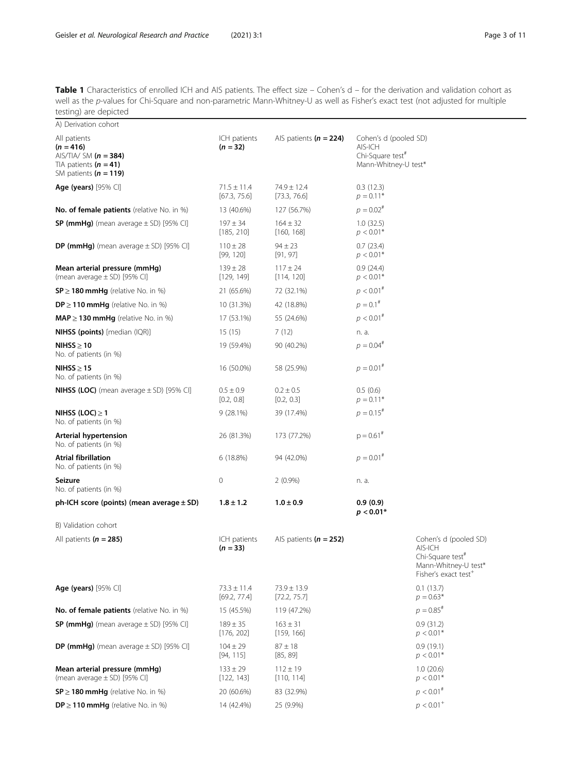<span id="page-2-0"></span>Table 1 Characteristics of enrolled ICH and AIS patients. The effect size – Cohen's d – for the derivation and validation cohort as well as the p-values for Chi-Square and non-parametric Mann-Whitney-U as well as Fisher's exact test (not adjusted for multiple testing) are depicted

| A) Derivation cohort                                                                                           |                                 |                                 |                                                                                          |                                                                                                                              |
|----------------------------------------------------------------------------------------------------------------|---------------------------------|---------------------------------|------------------------------------------------------------------------------------------|------------------------------------------------------------------------------------------------------------------------------|
| All patients<br>$(n = 416)$<br>AIS/TIA/ SM ( $n = 384$ )<br>TIA patients $(n = 41)$<br>SM patients $(n = 119)$ | ICH patients<br>$(n = 32)$      | AlS patients ( $n = 224$ )      | Cohen's d (pooled SD)<br>AIS-ICH<br>Chi-Square test <sup>#</sup><br>Mann-Whitney-U test* |                                                                                                                              |
| Age (years) $[95\%$ CI]                                                                                        | $71.5 \pm 11.4$<br>[67.3, 75.6] | 74.9 ± 12.4<br>[73.3, 76.6]     | 0.3(12.3)<br>$p = 0.11*$                                                                 |                                                                                                                              |
| No. of female patients (relative No. in %)                                                                     | 13 (40.6%)                      | 127 (56.7%)                     | $p = 0.02^{#}$                                                                           |                                                                                                                              |
| SP (mmHg) (mean average $\pm$ SD) [95% CI]                                                                     | $197 \pm 34$<br>[185, 210]      | $164 \pm 32$<br>[160, 168]      | 1.0(32.5)<br>$p < 0.01*$                                                                 |                                                                                                                              |
| <b>DP (mmHg)</b> (mean average $\pm$ SD) [95% CI]                                                              | $110 \pm 28$<br>[99, 120]       | $94 \pm 23$<br>[91, 97]         | 0.7(23.4)<br>$p < 0.01*$                                                                 |                                                                                                                              |
| Mean arterial pressure (mmHg)<br>(mean average $\pm$ SD) [95% CI]                                              | $139 \pm 28$<br>[129, 149]      | $117 \pm 24$<br>[114, 120]      | 0.9(24.4)<br>$p < 0.01*$                                                                 |                                                                                                                              |
| $SP \geq 180$ mmHg (relative No. in %)                                                                         | 21 (65.6%)                      | 72 (32.1%)                      | $p < 0.01^{*}$                                                                           |                                                                                                                              |
| $DP \ge 110$ mmHg (relative No. in %)                                                                          | 10 (31.3%)                      | 42 (18.8%)                      | $p = 0.1$ #                                                                              |                                                                                                                              |
| $MAP \geq 130$ mmHg (relative No. in %)                                                                        | 17 (53.1%)                      | 55 (24.6%)                      | $p < 0.01^{#}$                                                                           |                                                                                                                              |
| <b>NIHSS (points)</b> [median (IQR)]                                                                           | 15(15)                          | 7(12)                           | n. a.                                                                                    |                                                                                                                              |
| NIHSS > 10<br>No. of patients (in %)                                                                           | 19 (59.4%)                      | 90 (40.2%)                      | $p = 0.04$ <sup>#</sup>                                                                  |                                                                                                                              |
| NIHSS $\geq$ 15<br>No. of patients (in %)                                                                      | 16 (50.0%)                      | 58 (25.9%)                      | $p = 0.01^{#}$                                                                           |                                                                                                                              |
| <b>NIHSS (LOC)</b> (mean average $\pm$ SD) [95% CI]                                                            | $0.5 \pm 0.9$<br>[0.2, 0.8]     | $0.2 \pm 0.5$<br>[0.2, 0.3]     | 0.5(0.6)<br>$p = 0.11*$                                                                  |                                                                                                                              |
| NIHSS (LOC) $\geq$ 1<br>No. of patients (in %)                                                                 | $9(28.1\%)$                     | 39 (17.4%)                      | $p = 0.15^{#}$                                                                           |                                                                                                                              |
| Arterial hypertension<br>No. of patients (in %)                                                                | 26 (81.3%)                      | 173 (77.2%)                     | $p = 0.61$ <sup>#</sup>                                                                  |                                                                                                                              |
| <b>Atrial fibrillation</b><br>No. of patients (in %)                                                           | 6 (18.8%)                       | 94 (42.0%)                      | $p = 0.01^{*}$                                                                           |                                                                                                                              |
| Seizure<br>No. of patients (in %)                                                                              | 0                               | $2(0.9\%)$                      | n. a.                                                                                    |                                                                                                                              |
| ph-ICH score (points) (mean average $\pm$ SD)                                                                  | $1.8 \pm 1.2$                   | $1.0 \pm 0.9$                   | 0.9(0.9)<br>$p < 0.01*$                                                                  |                                                                                                                              |
| B) Validation cohort                                                                                           |                                 |                                 |                                                                                          |                                                                                                                              |
| All patients ( $n = 285$ )                                                                                     | ICH patients<br>$(n = 33)$      | AlS patients $(n = 252)$        |                                                                                          | Cohen's d (pooled SD)<br>AIS-ICH<br>Chi-Square test <sup>#</sup><br>Mann-Whitney-U test*<br>Fisher's exact test <sup>+</sup> |
| Age (years) [95% CI]                                                                                           | $73.3 \pm 11.4$<br>[69.2, 77.4] | $73.9 \pm 13.9$<br>[72.2, 75.7] |                                                                                          | 0.1(13.7)<br>$p = 0.63*$                                                                                                     |
| No. of female patients (relative No. in %)                                                                     | 15 (45.5%)                      | 119 (47.2%)                     |                                                                                          | $p = 0.85^{*}$                                                                                                               |
| <b>SP (mmHg)</b> (mean average $\pm$ SD) [95% CI]                                                              | $189 \pm 35$<br>[176, 202]      | $163 \pm 31$<br>[159, 166]      |                                                                                          | 0.9(31.2)<br>$p < 0.01*$                                                                                                     |
| DP (mmHg) (mean average $\pm$ SD) [95% CI]                                                                     | $104 \pm 29$<br>[94, 115]       | $87 \pm 18$<br>[85, 89]         |                                                                                          | 0.9(19.1)<br>$p < 0.01*$                                                                                                     |
| Mean arterial pressure (mmHg)<br>(mean average $\pm$ SD) [95% CI]                                              | $133 \pm 29$<br>[122, 143]      | $112 \pm 19$<br>[110, 114]      |                                                                                          | 1.0(20.6)<br>$p < 0.01*$                                                                                                     |
| $SP \geq 180$ mmHg (relative No. in %)                                                                         | 20 (60.6%)                      | 83 (32.9%)                      |                                                                                          | $p < 0.01^{#}$                                                                                                               |
| $DP \ge 110$ mmHg (relative No. in %)                                                                          | 14 (42.4%)                      | 25 (9.9%)                       |                                                                                          | $p < 0.01$ <sup>+</sup>                                                                                                      |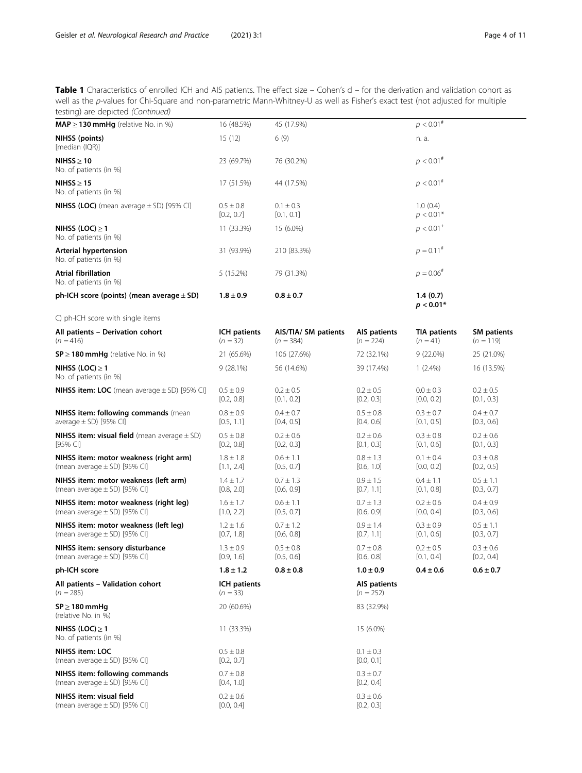Table 1 Characteristics of enrolled ICH and AIS patients. The effect size – Cohen's d – for the derivation and validation cohort as well as the p-values for Chi-Square and non-parametric Mann-Whitney-U as well as Fisher's exact test (not adjusted for multiple testing) are depicted (Continued)

| .estg, a.e aepietea (estaea)                                               |                             |                                     |                             |                                   |                                   |
|----------------------------------------------------------------------------|-----------------------------|-------------------------------------|-----------------------------|-----------------------------------|-----------------------------------|
| $MAP \geq 130$ mmHg (relative No. in %)                                    | 16 (48.5%)                  | 45 (17.9%)                          |                             | $p < 0.01^{#}$                    |                                   |
| NIHSS (points)<br>[median (IQR)]                                           | 15(12)                      | 6(9)                                |                             | n. a.                             |                                   |
| NIHSS $\geq 10$<br>No. of patients (in %)                                  | 23 (69.7%)                  | 76 (30.2%)                          |                             | $p < 0.01^{#}$                    |                                   |
| NIHSS > 15<br>No. of patients (in %)                                       | 17 (51.5%)                  | 44 (17.5%)                          |                             | $p < 0.01^{#}$                    |                                   |
| <b>NIHSS (LOC)</b> (mean average $\pm$ SD) [95% CI]                        | $0.5 \pm 0.8$<br>[0.2, 0.7] | $0.1 \pm 0.3$<br>[0.1, 0.1]         |                             | 1.0(0.4)<br>$p < 0.01*$           |                                   |
| NIHSS (LOC) $\geq 1$<br>No. of patients (in %)                             | 11 (33.3%)                  | 15 (6.0%)                           |                             | $p < 0.01$ <sup>+</sup>           |                                   |
| Arterial hypertension<br>No. of patients (in %)                            | 31 (93.9%)                  | 210 (83.3%)                         |                             | $p = 0.11^{#}$                    |                                   |
| Atrial fibrillation<br>No. of patients (in %)                              | 5 (15.2%)                   | 79 (31.3%)                          |                             | $p = 0.06^{#}$                    |                                   |
| ph-ICH score (points) (mean average $\pm$ SD)                              | $1.8 \pm 0.9$               | $0.8 \pm 0.7$                       |                             | 1.4(0.7)<br>$p < 0.01*$           |                                   |
| C) ph-ICH score with single items                                          |                             |                                     |                             |                                   |                                   |
| All patients - Derivation cohort<br>$(n = 416)$                            | ICH patients<br>$(n = 32)$  | AIS/TIA/ SM patients<br>$(n = 384)$ | AIS patients<br>$(n = 224)$ | <b>TIA patients</b><br>$(n = 41)$ | <b>SM</b> patients<br>$(n = 119)$ |
| $SP \geq 180$ mmHg (relative No. in %)                                     | 21 (65.6%)                  | 106 (27.6%)                         | 72 (32.1%)                  | $9(22.0\%)$                       | 25 (21.0%)                        |
| NIHSS (LOC) $\geq 1$<br>No. of patients (in %)                             | $9(28.1\%)$                 | 56 (14.6%)                          | 39 (17.4%)                  | $1(2.4\%)$                        | 16 (13.5%)                        |
| <b>NIHSS item: LOC</b> (mean average $\pm$ SD) [95% CI]                    | $0.5 \pm 0.9$<br>[0.2, 0.8] | $0.2 \pm 0.5$<br>[0.1, 0.2]         | $0.2 \pm 0.5$<br>[0.2, 0.3] | $0.0 \pm 0.3$<br>[0.0, 0.2]       | $0.2 \pm 0.5$<br>[0.1, 0.3]       |
| NIHSS item: following commands (mean<br>average $\pm$ SD) [95% CI]         | $0.8 \pm 0.9$<br>[0.5, 1.1] | $0.4 \pm 0.7$<br>[0.4, 0.5]         | $0.5 \pm 0.8$<br>[0.4, 0.6] | $0.3 \pm 0.7$<br>[0.1, 0.5]       | $0.4 \pm 0.7$<br>[0.3, 0.6]       |
| <b>NIHSS item: visual field</b> (mean average $\pm$ SD)<br>[95% CI]        | $0.5 \pm 0.8$<br>[0.2, 0.8] | $0.2 \pm 0.6$<br>[0.2, 0.3]         | $0.2 \pm 0.6$<br>[0.1, 0.3] | $0.3 \pm 0.8$<br>[0.1, 0.6]       | $0.2 \pm 0.6$<br>[0.1, 0.3]       |
| NIHSS item: motor weakness (right arm)<br>(mean average $\pm$ SD) [95% CI] | $1.8 \pm 1.8$<br>[1.1, 2.4] | $0.6 \pm 1.1$<br>[0.5, 0.7]         | $0.8 \pm 1.3$<br>[0.6, 1.0] | $0.1 \pm 0.4$<br>[0.0, 0.2]       | $0.3 \pm 0.8$<br>[0.2, 0.5]       |
| NIHSS item: motor weakness (left arm)<br>(mean average $\pm$ SD) [95% CI]  | $1.4 \pm 1.7$<br>[0.8, 2.0] | $0.7 \pm 1.3$<br>[0.6, 0.9]         | $0.9 \pm 1.5$<br>[0.7, 1.1] | $0.4 \pm 1.1$<br>[0.1, 0.8]       | $0.5 \pm 1.1$<br>[0.3, 0.7]       |
| NIHSS item: motor weakness (right leg)<br>(mean average $\pm$ SD) [95% CI] | $1.6 \pm 1.7$<br>[1.0, 2.2] | $0.6 \pm 1.1$<br>[0.5, 0.7]         | $0.7 \pm 1.3$<br>[0.6, 0.9] | $0.2 \pm 0.6$<br>[0.0, 0.4]       | $0.4 \pm 0.9$<br>[0.3, 0.6]       |
| NIHSS item: motor weakness (left leg)<br>(mean average $\pm$ SD) [95% CI]  | $1.2 \pm 1.6$<br>[0.7, 1.8] | $0.7 \pm 1.2$<br>[0.6, 0.8]         | $0.9 \pm 1.4$<br>[0.7, 1.1] | $0.3 \pm 0.9$<br>[0.1, 0.6]       | $0.5 \pm 1.1$<br>[0.3, 0.7]       |
| NIHSS item: sensory disturbance<br>(mean average $\pm$ SD) [95% CI]        | $1.3 \pm 0.9$<br>[0.9, 1.6] | $0.5 \pm 0.8$<br>[0.5, 0.6]         | $0.7 \pm 0.8$<br>[0.6, 0.8] | $0.2 \pm 0.5$<br>[0.1, 0.4]       | $0.3 \pm 0.6$<br>[0.2, 0.4]       |
| ph-ICH score                                                               | $1.8 \pm 1.2$               | $0.8 \pm 0.8$                       | $1.0 \pm 0.9$               | $0.4 \pm 0.6$                     | $0.6 \pm 0.7$                     |
| All patients - Validation cohort<br>$(n = 285)$                            | ICH patients<br>$(n = 33)$  |                                     | AIS patients<br>$(n = 252)$ |                                   |                                   |
| $SP \geq 180$ mmHg<br>(relative No. in %)                                  | 20 (60.6%)                  |                                     | 83 (32.9%)                  |                                   |                                   |
| NIHSS (LOC) $\geq$ 1<br>No. of patients (in %)                             | 11 (33.3%)                  |                                     | 15 (6.0%)                   |                                   |                                   |
| NIHSS item: LOC<br>(mean average $\pm$ SD) [95% CI]                        | $0.5 \pm 0.8$<br>[0.2, 0.7] |                                     | $0.1 \pm 0.3$<br>[0.0, 0.1] |                                   |                                   |
| NIHSS item: following commands<br>(mean average $\pm$ SD) [95% CI]         | $0.7 \pm 0.8$<br>[0.4, 1.0] |                                     | $0.3 \pm 0.7$<br>[0.2, 0.4] |                                   |                                   |
| NIHSS item: visual field<br>(mean average $\pm$ SD) [95% CI]               | $0.2 \pm 0.6$<br>[0.0, 0.4] |                                     | $0.3 \pm 0.6$<br>[0.2, 0.3] |                                   |                                   |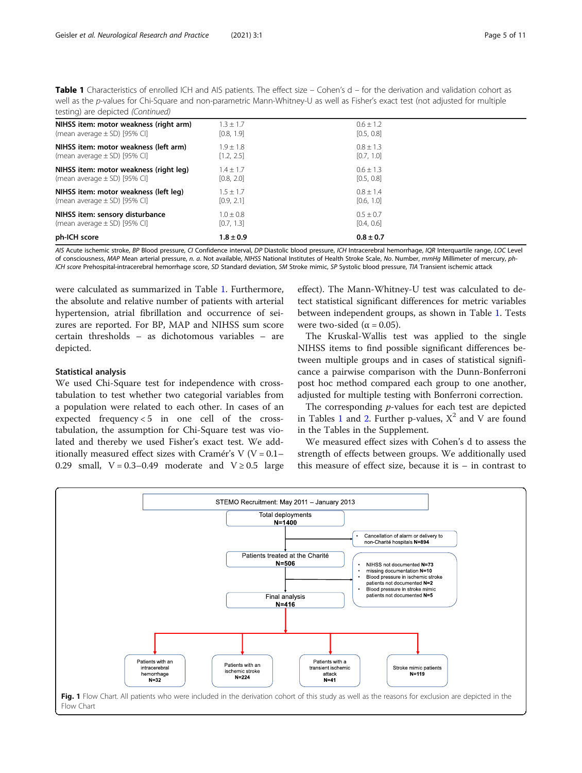<span id="page-4-0"></span>Table 1 Characteristics of enrolled ICH and AIS patients. The effect size – Cohen's d – for the derivation and validation cohort as well as the p-values for Chi-Square and non-parametric Mann-Whitney-U as well as Fisher's exact test (not adjusted for multiple testing) are depicted (Continued)

| NIHSS item: motor weakness (right arm) | $3 + 1.7$               | $0.6 + 1.2$   |  |
|----------------------------------------|-------------------------|---------------|--|
| (mean average $\pm$ SD) [95% CI]       | [0.8, 1.9]              | [0.5, 0.8]    |  |
| NIHSS item: motor weakness (left arm)  | $1.9 + 1.8$             | $0.8 + 1.3$   |  |
| (mean average $\pm$ SD) [95% CI]       | $\left[1.2, 2.5\right]$ | [0.7, 1.0]    |  |
| NIHSS item: motor weakness (right leg) | $1.4 + 1.7$             | $0.6 + 1.3$   |  |
| (mean average $\pm$ SD) [95% CI]       | [0.8, 2.0]              | [0.5, 0.8]    |  |
| NIHSS item: motor weakness (left leg)  | $1.5 \pm 1.7$           | $0.8 + 1.4$   |  |
| (mean average $\pm$ SD) [95% CI]       | [0.9, 2.1]              | [0.6, 1.0]    |  |
| NIHSS item: sensory disturbance        | $1.0 \pm 0.8$           | $0.5 + 0.7$   |  |
| (mean average $\pm$ SD) [95% CI]       | [0.7, 1.3]              | [0.4, 0.6]    |  |
| ph-ICH score                           | $1.8 \pm 0.9$           | $0.8 \pm 0.7$ |  |

AIS Acute ischemic stroke, BP Blood pressure, CI Confidence interval, DP Diastolic blood pressure, ICH Intracerebral hemorrhage, IQR Interquartile range, LOC Level of consciousness, MAP Mean arterial pressure, n. a. Not available, NIHSS National Institutes of Health Stroke Scale, No. Number, mmHg Millimeter of mercury, ph-ICH score Prehospital-intracerebral hemorrhage score, SD Standard deviation, SM Stroke mimic, SP Systolic blood pressure, TIA Transient ischemic attack

were calculated as summarized in Table [1.](#page-2-0) Furthermore, the absolute and relative number of patients with arterial hypertension, atrial fibrillation and occurrence of seizures are reported. For BP, MAP and NIHSS sum score certain thresholds – as dichotomous variables – are depicted.

#### Statistical analysis

We used Chi-Square test for independence with crosstabulation to test whether two categorial variables from a population were related to each other. In cases of an expected frequency  $< 5$  in one cell of the crosstabulation, the assumption for Chi-Square test was violated and thereby we used Fisher's exact test. We additionally measured effect sizes with Cramér's V ( $V = 0.1-$ 0.29 small,  $V = 0.3-0.49$  moderate and  $V \ge 0.5$  large effect). The Mann-Whitney-U test was calculated to detect statistical significant differences for metric variables between independent groups, as shown in Table [1.](#page-2-0) Tests were two-sided ( $\alpha$  = 0.05).

The Kruskal-Wallis test was applied to the single NIHSS items to find possible significant differences between multiple groups and in cases of statistical significance a pairwise comparison with the Dunn-Bonferroni post hoc method compared each group to one another, adjusted for multiple testing with Bonferroni correction.

The corresponding *p*-values for each test are depicted in Tables [1](#page-2-0) and [2.](#page-5-0) Further p-values,  $X^2$  and V are found in the Tables in the Supplement.

We measured effect sizes with Cohen's d to assess the strength of effects between groups. We additionally used this measure of effect size, because it is – in contrast to

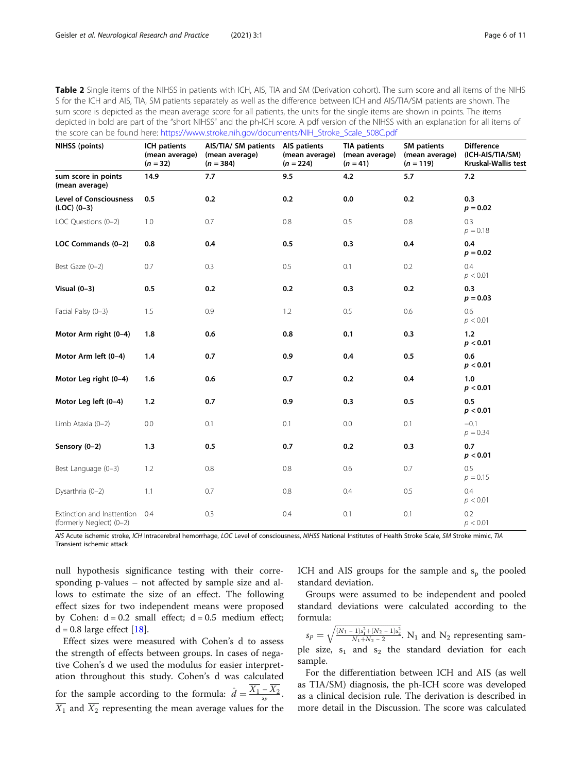<span id="page-5-0"></span>Table 2 Single items of the NIHSS in patients with ICH, AIS, TIA and SM (Derivation cohort). The sum score and all items of the NIHS S for the ICH and AIS, TIA, SM patients separately as well as the difference between ICH and AIS/TIA/SM patients are shown. The sum score is depicted as the mean average score for all patients, the units for the single items are shown in points. The items depicted in bold are part of the "short NIHSS" and the ph-ICH score. A pdf version of the NIHSS with an explanation for all items of the score can be found here: [https://www.stroke.nih.gov/documents/NIH\\_Stroke\\_Scale\\_508C.pdf](https://www.stroke.nih.gov/documents/NIH_Stroke_Scale_508C.pdf)

| NIHSS (points)                                         | ICH patients<br>(mean average)<br>$(n = 32)$ | AIS/TIA/ SM patients AIS patients<br>(mean average)<br>$(n = 384)$ | (mean average)<br>$(n = 224)$ | <b>TIA patients</b><br>(mean average)<br>$(n = 41)$ | <b>SM</b> patients<br>(mean average)<br>$(n = 119)$ | <b>Difference</b><br>(ICH-AIS/TIA/SM)<br>Kruskal-Wallis test |
|--------------------------------------------------------|----------------------------------------------|--------------------------------------------------------------------|-------------------------------|-----------------------------------------------------|-----------------------------------------------------|--------------------------------------------------------------|
| sum score in points<br>(mean average)                  | 14.9                                         | 7.7                                                                | 9.5                           | 4.2                                                 | 5.7                                                 | 7.2                                                          |
| <b>Level of Consciousness</b><br>$(LOC) (0-3)$         | 0.5                                          | 0.2                                                                | 0.2                           | 0.0                                                 | 0.2                                                 | 0.3<br>$p = 0.02$                                            |
| LOC Questions (0-2)                                    | 1.0                                          | 0.7                                                                | 0.8                           | 0.5                                                 | 0.8                                                 | 0.3<br>$p = 0.18$                                            |
| LOC Commands (0-2)                                     | 0.8                                          | 0.4                                                                | 0.5                           | 0.3                                                 | 0.4                                                 | 0.4<br>$p = 0.02$                                            |
| Best Gaze (0-2)                                        | 0.7                                          | 0.3                                                                | 0.5                           | 0.1                                                 | 0.2                                                 | 0.4<br>p < 0.01                                              |
| Visual $(0-3)$                                         | 0.5                                          | 0.2                                                                | 0.2                           | 0.3                                                 | 0.2                                                 | 0.3<br>$p = 0.03$                                            |
| Facial Palsy (0-3)                                     | 1.5                                          | 0.9                                                                | 1.2                           | 0.5                                                 | 0.6                                                 | 0.6<br>p < 0.01                                              |
| Motor Arm right (0-4)                                  | 1.8                                          | 0.6                                                                | 0.8                           | 0.1                                                 | 0.3                                                 | 1.2<br>p < 0.01                                              |
| Motor Arm left (0-4)                                   | 1.4                                          | 0.7                                                                | 0.9                           | 0.4                                                 | 0.5                                                 | 0.6<br>p < 0.01                                              |
| Motor Leg right (0-4)                                  | 1.6                                          | 0.6                                                                | 0.7                           | 0.2                                                 | 0.4                                                 | 1.0<br>p < 0.01                                              |
| Motor Leg left (0-4)                                   | 1.2                                          | 0.7                                                                | 0.9                           | 0.3                                                 | 0.5                                                 | 0.5<br>p < 0.01                                              |
| Limb Ataxia (0-2)                                      | 0.0                                          | 0.1                                                                | 0.1                           | 0.0                                                 | 0.1                                                 | $-0.1$<br>$p = 0.34$                                         |
| Sensory (0-2)                                          | 1.3                                          | 0.5                                                                | 0.7                           | 0.2                                                 | 0.3                                                 | 0.7<br>p < 0.01                                              |
| Best Language (0-3)                                    | 1.2                                          | 0.8                                                                | 0.8                           | 0.6                                                 | 0.7                                                 | 0.5<br>$p = 0.15$                                            |
| Dysarthria (0-2)                                       | 1.1                                          | 0.7                                                                | 0.8                           | 0.4                                                 | 0.5                                                 | 0.4<br>p < 0.01                                              |
| Extinction and Inattention<br>(formerly Neglect) (0-2) | 0.4                                          | 0.3                                                                | 0.4                           | 0.1                                                 | 0.1                                                 | 0.2<br>p < 0.01                                              |

AIS Acute ischemic stroke, ICH Intracerebral hemorrhage, LOC Level of consciousness, NIHSS National Institutes of Health Stroke Scale, SM Stroke mimic, TIA Transient ischemic attack

null hypothesis significance testing with their corresponding p-values – not affected by sample size and allows to estimate the size of an effect. The following effect sizes for two independent means were proposed by Cohen:  $d = 0.2$  small effect;  $d = 0.5$  medium effect;  $d = 0.8$  large effect [\[18](#page-10-0)].

Effect sizes were measured with Cohen's d to assess the strength of effects between groups. In cases of negative Cohen's d we used the modulus for easier interpretation throughout this study. Cohen's d was calculated for the sample according to the formula:  $\hat{d} = \frac{\overline{X_1} - \overline{X_2}}{s_p}$ .  $\overline{X_1}$  and  $\overline{X_2}$  representing the mean average values for the

ICH and AIS groups for the sample and  $s_p$  the pooled standard deviation.

Groups were assumed to be independent and pooled standard deviations were calculated according to the formula: q ffiffiffiffiffiffiffiffiffiffiffiffiffiffiffiffiffiffiffiffiffiffiffiffiffiffiffiffiffiffiffiffiffi

 $s_P =$  $\frac{(N_1 - 1)s_1^2 + (N_2 - 1)s_2^2}{N_1 + N_2 - 2}$ . N<sub>1</sub> and N<sub>2</sub> representing sample size,  $s_1$  and  $s_2$  the standard deviation for each sample.

For the differentiation between ICH and AIS (as well as TIA/SM) diagnosis, the ph-ICH score was developed as a clinical decision rule. The derivation is described in more detail in the Discussion. The score was calculated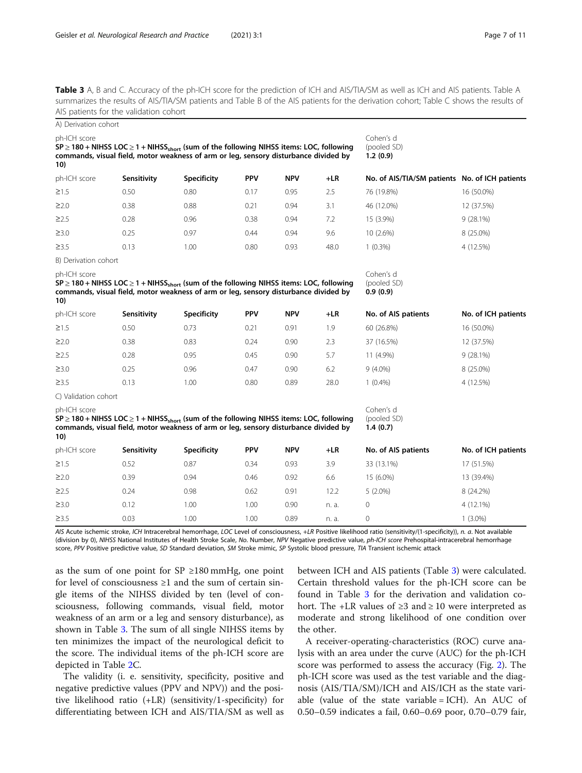<span id="page-6-0"></span>Table 3 A, B and C. Accuracy of the ph-ICH score for the prediction of ICH and AIS/TIA/SM as well as ICH and AIS patients. Table A summarizes the results of AIS/TIA/SM patients and Table B of the AIS patients for the derivation cohort; Table C shows the results of AIS patients for the validation cohort

| A) Derivation cohort |                                                                                                                                                                                                       |                    |            |            |       |                                                |                     |
|----------------------|-------------------------------------------------------------------------------------------------------------------------------------------------------------------------------------------------------|--------------------|------------|------------|-------|------------------------------------------------|---------------------|
| ph-ICH score<br>10)  | $SP \geq 180 +$ NIHSS LOC $\geq 1 +$ NIHSS <sub>short</sub> (sum of the following NIHSS items: LOC, following<br>commands, visual field, motor weakness of arm or leg, sensory disturbance divided by |                    |            |            |       | Cohen's d<br>(pooled SD)<br>1.2(0.9)           |                     |
| ph-ICH score         | Sensitivity                                                                                                                                                                                           | Specificity        | <b>PPV</b> | <b>NPV</b> | $+LR$ | No. of AIS/TIA/SM patients No. of ICH patients |                     |
| $\geq$ 1.5           | 0.50                                                                                                                                                                                                  | 0.80               | 0.17       | 0.95       | 2.5   | 76 (19.8%)                                     | 16 (50.0%)          |
| $\geq$ 2.0           | 0.38                                                                                                                                                                                                  | 0.88               | 0.21       | 0.94       | 3.1   | 46 (12.0%)                                     | 12 (37.5%)          |
| $\geq$ 2.5           | 0.28                                                                                                                                                                                                  | 0.96               | 0.38       | 0.94       | 7.2   | 15 (3.9%)                                      | $9(28.1\%)$         |
| $\geq$ 3.0           | 0.25                                                                                                                                                                                                  | 0.97               | 0.44       | 0.94       | 9.6   | 10 (2.6%)                                      | 8 (25.0%)           |
| $\geq$ 3.5           | 0.13                                                                                                                                                                                                  | 1.00               | 0.80       | 0.93       | 48.0  | $1(0.3\%)$                                     | 4 (12.5%)           |
| B) Derivation cohort |                                                                                                                                                                                                       |                    |            |            |       |                                                |                     |
| ph-ICH score<br>10)  | $SP \ge 180 + NHSS$ LOC $\ge 1 + NHSSshort$ (sum of the following NIHSS items: LOC, following<br>commands, visual field, motor weakness of arm or leg, sensory disturbance divided by                 |                    |            |            |       | Cohen's d<br>(pooled SD)<br>0.9(0.9)           |                     |
| ph-ICH score         | Sensitivity                                                                                                                                                                                           | <b>Specificity</b> | <b>PPV</b> | <b>NPV</b> | $+LR$ | No. of AIS patients                            | No. of ICH patients |
| $\geq$ 1.5           | 0.50                                                                                                                                                                                                  | 0.73               | 0.21       | 0.91       | 1.9   | 60 (26.8%)                                     | 16 (50.0%)          |
| $\geq$ 2.0           | 0.38                                                                                                                                                                                                  | 0.83               | 0.24       | 0.90       | 2.3   | 37 (16.5%)                                     | 12 (37.5%)          |
| $\geq$ 2.5           | 0.28                                                                                                                                                                                                  | 0.95               | 0.45       | 0.90       | 5.7   | 11 (4.9%)                                      | 9 (28.1%)           |
| $\geq$ 3.0           | 0.25                                                                                                                                                                                                  | 0.96               | 0.47       | 0.90       | 6.2   | $9(4.0\%)$                                     | 8 (25.0%)           |
| $\geq$ 3.5           | 0.13                                                                                                                                                                                                  | 1.00               | 0.80       | 0.89       | 28.0  | $1(0.4\%)$                                     | 4 (12.5%)           |
| C) Validation cohort |                                                                                                                                                                                                       |                    |            |            |       |                                                |                     |
| ph-ICH score<br>10)  | $SP \ge 180 + NHSS$ LOC $\ge 1 + NHSSshort$ (sum of the following NIHSS items: LOC, following<br>commands, visual field, motor weakness of arm or leg, sensory disturbance divided by                 |                    |            |            |       | Cohen's d<br>(pooled SD)<br>1.4(0.7)           |                     |
| ph-ICH score         | Sensitivity                                                                                                                                                                                           | <b>Specificity</b> | <b>PPV</b> | <b>NPV</b> | $+LR$ | No. of AIS patients                            | No. of ICH patients |
| $\geq$ 1.5           | 0.52                                                                                                                                                                                                  | 0.87               | 0.34       | 0.93       | 3.9   | 33 (13.1%)                                     | 17 (51.5%)          |
| $\geq$ 2.0           | 0.39                                                                                                                                                                                                  | 0.94               | 0.46       | 0.92       | 6.6   | 15 (6.0%)                                      | 13 (39.4%)          |
| $\geq$ 2.5           | 0.24                                                                                                                                                                                                  | 0.98               | 0.62       | 0.91       | 12.2  | $5(2.0\%)$                                     | 8 (24.2%)           |
| $\geq$ 3.0           | 0.12                                                                                                                                                                                                  | 1.00               | 1.00       | 0.90       | n. a. | 0                                              | 4 (12.1%)           |
| $\geq$ 3.5           | 0.03                                                                                                                                                                                                  | 1.00               | 1.00       | 0.89       | n. a. | 0                                              | $1(3.0\%)$          |

AIS Acute ischemic stroke, ICH Intracerebral hemorrhage, LOC Level of consciousness, +LR Positive likelihood ratio (sensitivity/(1-specificity)), n. a. Not available (division by 0), NIHSS National Institutes of Health Stroke Scale, No. Number, NPV Negative predictive value, ph-ICH score Prehospital-intracerebral hemorrhage score, PPV Positive predictive value, SD Standard deviation, SM Stroke mimic, SP Systolic blood pressure, TIA Transient ischemic attack

as the sum of one point for  $SP \geq 180$  mmHg, one point for level of consciousness  $\geq 1$  and the sum of certain single items of the NIHSS divided by ten (level of consciousness, following commands, visual field, motor weakness of an arm or a leg and sensory disturbance), as shown in Table 3. The sum of all single NIHSS items by ten minimizes the impact of the neurological deficit to the score. The individual items of the ph-ICH score are depicted in Table [2C](#page-5-0).

The validity (i. e. sensitivity, specificity, positive and negative predictive values (PPV and NPV)) and the positive likelihood ratio (+LR) (sensitivity/1-specificity) for differentiating between ICH and AIS/TIA/SM as well as

between ICH and AIS patients (Table 3) were calculated. Certain threshold values for the ph-ICH score can be found in Table 3 for the derivation and validation cohort. The +LR values of ≥3 and ≥ 10 were interpreted as moderate and strong likelihood of one condition over the other.

A receiver-operating-characteristics (ROC) curve analysis with an area under the curve (AUC) for the ph-ICH score was performed to assess the accuracy (Fig. [2\)](#page-7-0). The ph-ICH score was used as the test variable and the diagnosis (AIS/TIA/SM)/ICH and AIS/ICH as the state variable (value of the state variable =  $ICH$ ). An AUC of 0.50–0.59 indicates a fail, 0.60–0.69 poor, 0.70–0.79 fair,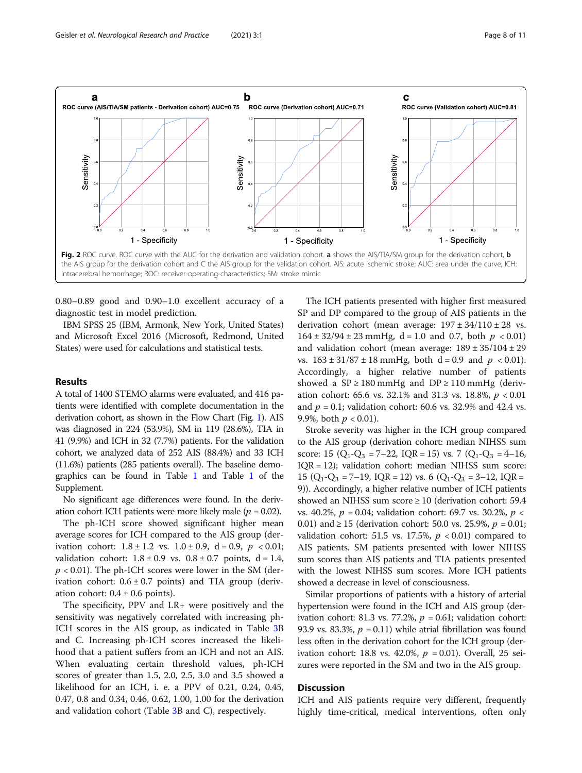<span id="page-7-0"></span>

0.80–0.89 good and 0.90–1.0 excellent accuracy of a diagnostic test in model prediction.

IBM SPSS 25 (IBM, Armonk, New York, United States) and Microsoft Excel 2016 (Microsoft, Redmond, United States) were used for calculations and statistical tests.

#### Results

A total of 1400 STEMO alarms were evaluated, and 416 patients were identified with complete documentation in the derivation cohort, as shown in the Flow Chart (Fig. [1\)](#page-4-0). AIS was diagnosed in 224 (53.9%), SM in 119 (28.6%), TIA in 41 (9.9%) and ICH in 32 (7.7%) patients. For the validation cohort, we analyzed data of 252 AIS (88.4%) and 33 ICH (11.6%) patients (285 patients overall). The baseline demographics can be found in Table [1](#page-2-0) and Table [1](#page-9-0) of the Supplement.

No significant age differences were found. In the derivation cohort ICH patients were more likely male ( $p = 0.02$ ).

The ph-ICH score showed significant higher mean average scores for ICH compared to the AIS group (derivation cohort:  $1.8 \pm 1.2$  vs.  $1.0 \pm 0.9$ ,  $d = 0.9$ ,  $p < 0.01$ ; validation cohort:  $1.8 \pm 0.9$  vs.  $0.8 \pm 0.7$  points,  $d = 1.4$ ,  $p < 0.01$ ). The ph-ICH scores were lower in the SM (derivation cohort:  $0.6 \pm 0.7$  points) and TIA group (derivation cohort:  $0.4 \pm 0.6$  points).

The specificity, PPV and LR+ were positively and the sensitivity was negatively correlated with increasing ph-ICH scores in the AIS group, as indicated in Table [3B](#page-6-0) and C. Increasing ph-ICH scores increased the likelihood that a patient suffers from an ICH and not an AIS. When evaluating certain threshold values, ph-ICH scores of greater than 1.5, 2.0, 2.5, 3.0 and 3.5 showed a likelihood for an ICH, i. e. a PPV of 0.21, 0.24, 0.45, 0.47, 0.8 and 0.34, 0.46, 0.62, 1.00, 1.00 for the derivation and validation cohort (Table [3](#page-6-0)B and C), respectively.

The ICH patients presented with higher first measured SP and DP compared to the group of AIS patients in the derivation cohort (mean average:  $197 \pm 34/110 \pm 28$  vs.  $164 \pm 32/94 \pm 23$  mmHg, d = 1.0 and 0.7, both  $p < 0.01$ ) and validation cohort (mean average:  $189 \pm 35/104 \pm 29$ vs.  $163 \pm 31/87 \pm 18$  mmHg, both d = 0.9 and  $p < 0.01$ ). Accordingly, a higher relative number of patients showed a  $SP \ge 180$  mmHg and  $DP \ge 110$  mmHg (derivation cohort: 65.6 vs. 32.1% and 31.3 vs. 18.8%,  $p < 0.01$ and  $p = 0.1$ ; validation cohort: 60.6 vs. 32.9% and 42.4 vs. 9.9%, both  $p < 0.01$ ).

Stroke severity was higher in the ICH group compared to the AIS group (derivation cohort: median NIHSS sum score: 15  $(Q_1-Q_3 = 7-22, IQR = 15)$  vs. 7  $(Q_1-Q_3 = 4-16,$ IQR = 12); validation cohort: median NIHSS sum score: 15 ( $Q_1$ - $Q_3$  = 7-19, IQR = 12) vs. 6 ( $Q_1$ - $Q_3$  = 3-12, IQR = 9)). Accordingly, a higher relative number of ICH patients showed an NIHSS sum score ≥ 10 (derivation cohort: 59.4 vs. 40.2%,  $p = 0.04$ ; validation cohort: 69.7 vs. 30.2%,  $p <$ 0.01) and  $\geq 15$  (derivation cohort: 50.0 vs. 25.9%,  $p = 0.01$ ; validation cohort: 51.5 vs. 17.5%,  $p < 0.01$ ) compared to AIS patients. SM patients presented with lower NIHSS sum scores than AIS patients and TIA patients presented with the lowest NIHSS sum scores. More ICH patients showed a decrease in level of consciousness.

Similar proportions of patients with a history of arterial hypertension were found in the ICH and AIS group (derivation cohort: 81.3 vs. 77.2%,  $p = 0.61$ ; validation cohort: 93.9 vs. 83.3%,  $p = 0.11$ ) while atrial fibrillation was found less often in the derivation cohort for the ICH group (derivation cohort: 18.8 vs. 42.0%,  $p = 0.01$ ). Overall, 25 seizures were reported in the SM and two in the AIS group.

## **Discussion**

ICH and AIS patients require very different, frequently highly time-critical, medical interventions, often only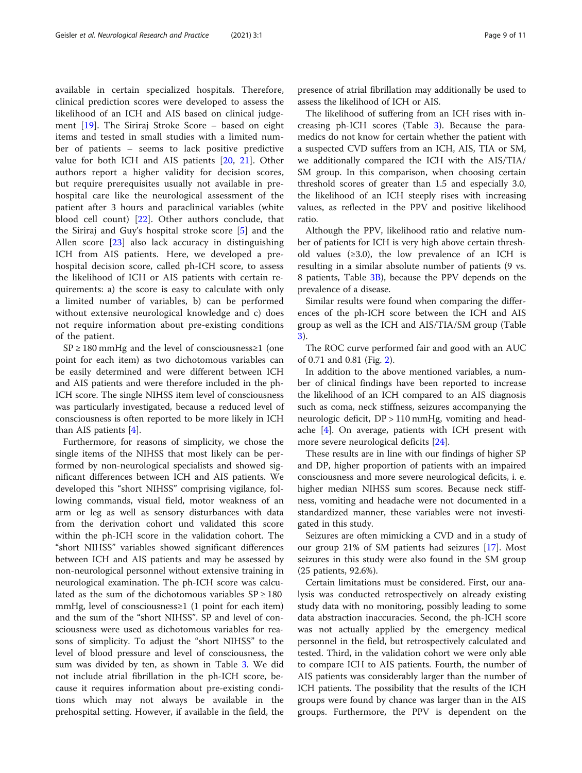available in certain specialized hospitals. Therefore, clinical prediction scores were developed to assess the likelihood of an ICH and AIS based on clinical judgement [[19](#page-10-0)]. The Siriraj Stroke Score – based on eight items and tested in small studies with a limited number of patients – seems to lack positive predictive value for both ICH and AIS patients [\[20](#page-10-0), [21\]](#page-10-0). Other authors report a higher validity for decision scores, but require prerequisites usually not available in prehospital care like the neurological assessment of the patient after 3 hours and paraclinical variables (white blood cell count) [\[22](#page-10-0)]. Other authors conclude, that the Siriraj and Guy's hospital stroke score [[5\]](#page-9-0) and the Allen score [[23\]](#page-10-0) also lack accuracy in distinguishing ICH from AIS patients. Here, we developed a prehospital decision score, called ph-ICH score, to assess the likelihood of ICH or AIS patients with certain requirements: a) the score is easy to calculate with only a limited number of variables, b) can be performed without extensive neurological knowledge and c) does not require information about pre-existing conditions of the patient.

 $SP \geq 180$  mmHg and the level of consciousness  $\geq 1$  (one point for each item) as two dichotomous variables can be easily determined and were different between ICH and AIS patients and were therefore included in the ph-ICH score. The single NIHSS item level of consciousness was particularly investigated, because a reduced level of consciousness is often reported to be more likely in ICH than AIS patients [\[4](#page-9-0)].

Furthermore, for reasons of simplicity, we chose the single items of the NIHSS that most likely can be performed by non-neurological specialists and showed significant differences between ICH and AIS patients. We developed this "short NIHSS" comprising vigilance, following commands, visual field, motor weakness of an arm or leg as well as sensory disturbances with data from the derivation cohort und validated this score within the ph-ICH score in the validation cohort. The "short NIHSS" variables showed significant differences between ICH and AIS patients and may be assessed by non-neurological personnel without extensive training in neurological examination. The ph-ICH score was calculated as the sum of the dichotomous variables  $SP \ge 180$ mmHg, level of consciousness≥1 (1 point for each item) and the sum of the "short NIHSS". SP and level of consciousness were used as dichotomous variables for reasons of simplicity. To adjust the "short NIHSS" to the level of blood pressure and level of consciousness, the sum was divided by ten, as shown in Table [3.](#page-6-0) We did not include atrial fibrillation in the ph-ICH score, because it requires information about pre-existing conditions which may not always be available in the prehospital setting. However, if available in the field, the

presence of atrial fibrillation may additionally be used to assess the likelihood of ICH or AIS.

The likelihood of suffering from an ICH rises with increasing ph-ICH scores (Table [3](#page-6-0)). Because the paramedics do not know for certain whether the patient with a suspected CVD suffers from an ICH, AIS, TIA or SM, we additionally compared the ICH with the AIS/TIA/ SM group. In this comparison, when choosing certain threshold scores of greater than 1.5 and especially 3.0, the likelihood of an ICH steeply rises with increasing values, as reflected in the PPV and positive likelihood ratio.

Although the PPV, likelihood ratio and relative number of patients for ICH is very high above certain threshold values  $(≥3.0)$ , the low prevalence of an ICH is resulting in a similar absolute number of patients (9 vs. 8 patients, Table [3B\)](#page-6-0), because the PPV depends on the prevalence of a disease.

Similar results were found when comparing the differences of the ph-ICH score between the ICH and AIS group as well as the ICH and AIS/TIA/SM group (Table [3\)](#page-6-0).

The ROC curve performed fair and good with an AUC of 0.71 and 0.81 (Fig. [2\)](#page-7-0).

In addition to the above mentioned variables, a number of clinical findings have been reported to increase the likelihood of an ICH compared to an AIS diagnosis such as coma, neck stiffness, seizures accompanying the neurologic deficit, DP > 110 mmHg, vomiting and headache [\[4](#page-9-0)]. On average, patients with ICH present with more severe neurological deficits [\[24](#page-10-0)].

These results are in line with our findings of higher SP and DP, higher proportion of patients with an impaired consciousness and more severe neurological deficits, i. e. higher median NIHSS sum scores. Because neck stiffness, vomiting and headache were not documented in a standardized manner, these variables were not investigated in this study.

Seizures are often mimicking a CVD and in a study of our group 21% of SM patients had seizures [\[17\]](#page-10-0). Most seizures in this study were also found in the SM group (25 patients, 92.6%).

Certain limitations must be considered. First, our analysis was conducted retrospectively on already existing study data with no monitoring, possibly leading to some data abstraction inaccuracies. Second, the ph-ICH score was not actually applied by the emergency medical personnel in the field, but retrospectively calculated and tested. Third, in the validation cohort we were only able to compare ICH to AIS patients. Fourth, the number of AIS patients was considerably larger than the number of ICH patients. The possibility that the results of the ICH groups were found by chance was larger than in the AIS groups. Furthermore, the PPV is dependent on the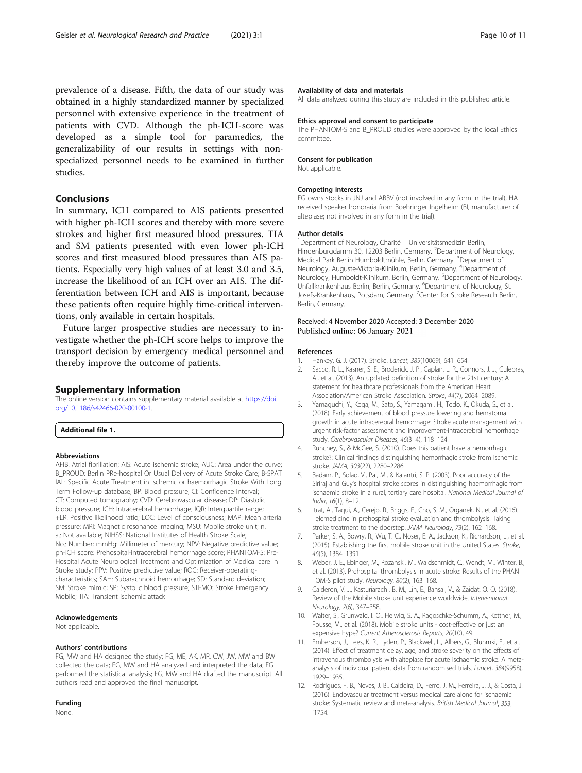<span id="page-9-0"></span>prevalence of a disease. Fifth, the data of our study was obtained in a highly standardized manner by specialized personnel with extensive experience in the treatment of patients with CVD. Although the ph-ICH-score was developed as a simple tool for paramedics, the generalizability of our results in settings with nonspecialized personnel needs to be examined in further studies.

## Conclusions

In summary, ICH compared to AIS patients presented with higher ph-ICH scores and thereby with more severe strokes and higher first measured blood pressures. TIA and SM patients presented with even lower ph-ICH scores and first measured blood pressures than AIS patients. Especially very high values of at least 3.0 and 3.5, increase the likelihood of an ICH over an AIS. The differentiation between ICH and AIS is important, because these patients often require highly time-critical interventions, only available in certain hospitals.

Future larger prospective studies are necessary to investigate whether the ph-ICH score helps to improve the transport decision by emergency medical personnel and thereby improve the outcome of patients.

#### Supplementary Information

The online version contains supplementary material available at [https://doi.](https://doi.org/10.1186/s42466-020-00100-1) [org/10.1186/s42466-020-00100-1.](https://doi.org/10.1186/s42466-020-00100-1)

Additional file 1.

#### Abbreviations

AFIB: Atrial fibrillation; AIS: Acute ischemic stroke; AUC: Area under the curve; B\_PROUD: Berlin PRe-hospital Or Usual Delivery of Acute Stroke Care; B-SPAT IAL: Specific Acute Treatment in Ischemic or haemorrhagic Stroke With Long Term Follow-up database; BP: Blood pressure; CI: Confidence interval; CT: Computed tomography; CVD: Cerebrovascular disease; DP: Diastolic blood pressure; ICH: Intracerebral hemorrhage; IQR: Interquartile range; +LR: Positive likelihood ratio; LOC: Level of consciousness; MAP: Mean arterial pressure; MRI: Magnetic resonance imaging; MSU: Mobile stroke unit; n. a.: Not available; NIHSS: National Institutes of Health Stroke Scale; No.: Number; mmHg: Millimeter of mercury; NPV: Negative predictive value; ph-ICH score: Prehospital-intracerebral hemorrhage score; PHANTOM-S: Pre-Hospital Acute Neurological Treatment and Optimization of Medical care in Stroke study; PPV: Positive predictive value; ROC: Receiver-operatingcharacteristics; SAH: Subarachnoid hemorrhage; SD: Standard deviation; SM: Stroke mimic; SP: Systolic blood pressure; STEMO: Stroke Emergency Mobile; TIA: Transient ischemic attack

#### Acknowledgements

Not applicable.

#### Authors' contributions

FG, MW and HA designed the study; FG, ME, AK, MR, CW, JW, MW and BW collected the data; FG, MW and HA analyzed and interpreted the data; FG performed the statistical analysis; FG, MW and HA drafted the manuscript. All authors read and approved the final manuscript.

#### Funding

None.

#### Availability of data and materials

All data analyzed during this study are included in this published article.

#### Ethics approval and consent to participate

The PHANTOM-S and B\_PROUD studies were approved by the local Ethics committee.

#### Consent for publication

Not applicable

#### Competing interests

FG owns stocks in JNJ and ABBV (not involved in any form in the trial), HA received speaker honoraria from Boehringer Ingelheim (BI, manufacturer of alteplase; not involved in any form in the trial).

#### Author details

<sup>1</sup>Department of Neurology, Charité - Universitätsmedizin Berlin, Hindenburgdamm 30, 12203 Berlin, Germany. <sup>2</sup>Department of Neurology, Medical Park Berlin Humboldtmühle, Berlin, Germany. <sup>3</sup>Department of Neurology, Auguste-Viktoria-Klinikum, Berlin, Germany. <sup>4</sup> Department of Neurology, Humboldt-Klinikum, Berlin, Germany. <sup>5</sup>Department of Neurology, Unfallkrankenhaus Berlin, Berlin, Germany. <sup>6</sup>Department of Neurology, St. Josefs-Krankenhaus, Potsdam, Germany. <sup>7</sup> Center for Stroke Research Berlin, Berlin, Germany.

#### Received: 4 November 2020 Accepted: 3 December 2020 Published online: 06 January 2021

#### References

- Hankey, G. J. (2017). Stroke. Lancet, 389(10069), 641–654.
- 2. Sacco, R. L., Kasner, S. E., Broderick, J. P., Caplan, L. R., Connors, J. J., Culebras, A., et al. (2013). An updated definition of stroke for the 21st century: A statement for healthcare professionals from the American Heart Association/American Stroke Association. Stroke, 44(7), 2064–2089.
- 3. Yamaguchi, Y., Koga, M., Sato, S., Yamagami, H., Todo, K., Okuda, S., et al. (2018). Early achievement of blood pressure lowering and hematoma growth in acute intracerebral hemorrhage: Stroke acute management with urgent risk-factor assessment and improvement-intracerebral hemorrhage study. Cerebrovascular Diseases, 46(3–4), 118–124.
- 4. Runchey, S., & McGee, S. (2010). Does this patient have a hemorrhagic stroke?: Clinical findings distinguishing hemorrhagic stroke from ischemic stroke. JAMA, 303(22), 2280–2286.
- 5. Badam, P., Solao, V., Pai, M., & Kalantri, S. P. (2003). Poor accuracy of the Siriraj and Guy's hospital stroke scores in distinguishing haemorrhagic from ischaemic stroke in a rural, tertiary care hospital. National Medical Journal of India, 16(1), 8–12.
- Itrat, A., Taqui, A., Cerejo, R., Briggs, F., Cho, S. M., Organek, N., et al. (2016). Telemedicine in prehospital stroke evaluation and thrombolysis: Taking stroke treatment to the doorstep. JAMA Neurology, 73(2), 162–168.
- 7. Parker, S. A., Bowry, R., Wu, T. C., Noser, E. A., Jackson, K., Richardson, L., et al. (2015). Establishing the first mobile stroke unit in the United States. Stroke, 46(5), 1384–1391.
- 8. Weber, J. E., Ebinger, M., Rozanski, M., Waldschmidt, C., Wendt, M., Winter, B., et al. (2013). Prehospital thrombolysis in acute stroke: Results of the PHAN TOM-S pilot study. Neurology, 80(2), 163–168.
- 9. Calderon, V. J., Kasturiarachi, B. M., Lin, E., Bansal, V., & Zaidat, O. O. (2018). Review of the Mobile stroke unit experience worldwide. Interventional Neurology, 7(6), 347–358.
- 10. Walter, S., Grunwald, I. Q., Helwig, S. A., Ragoschke-Schumm, A., Kettner, M., Fousse, M., et al. (2018). Mobile stroke units - cost-effective or just an expensive hype? Current Atherosclerosis Reports, 20(10), 49.
- 11. Emberson, J., Lees, K. R., Lyden, P., Blackwell, L., Albers, G., Bluhmki, E., et al. (2014). Effect of treatment delay, age, and stroke severity on the effects of intravenous thrombolysis with alteplase for acute ischaemic stroke: A metaanalysis of individual patient data from randomised trials. Lancet, 384(9958), 1929–1935.
- 12. Rodrigues, F. B., Neves, J. B., Caldeira, D., Ferro, J. M., Ferreira, J. J., & Costa, J. (2016). Endovascular treatment versus medical care alone for ischaemic stroke: Systematic review and meta-analysis. British Medical Journal, 353, i1754.